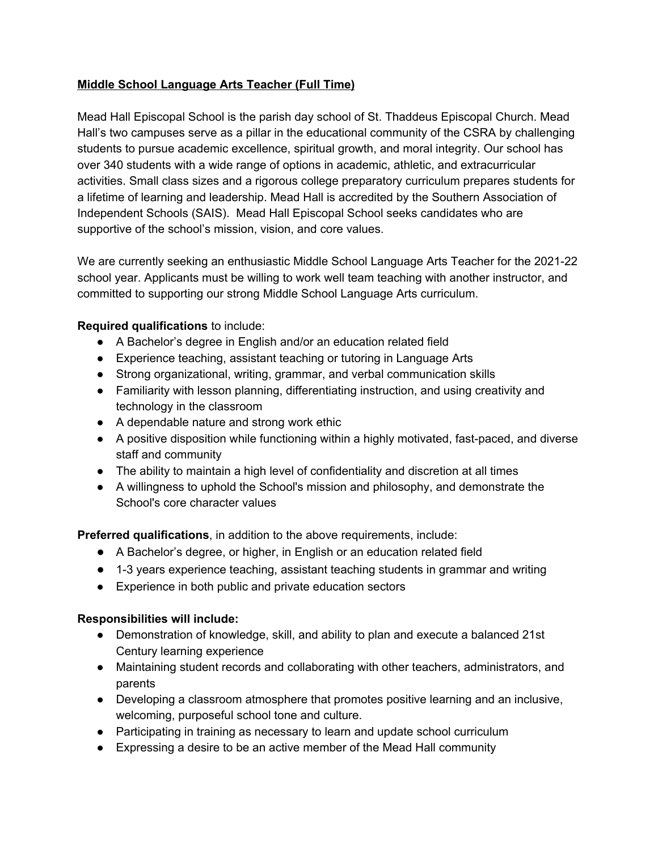## **Middle School Language Arts Teacher (Full Time)**

Mead Hall Episcopal School is the parish day school of St. Thaddeus Episcopal Church. Mead Hall's two campuses serve as a pillar in the educational community of the CSRA by challenging students to pursue academic excellence, spiritual growth, and moral integrity. Our school has over 340 students with a wide range of options in academic, athletic, and extracurricular activities. Small class sizes and a rigorous college preparatory curriculum prepares students for a lifetime of learning and leadership. Mead Hall is accredited by the Southern Association of Independent Schools (SAIS). Mead Hall Episcopal School seeks candidates who are supportive of the school's mission, vision, and core values.

We are currently seeking an enthusiastic Middle School Language Arts Teacher for the 2021-22 school year. Applicants must be willing to work well team teaching with another instructor, and committed to supporting our strong Middle School Language Arts curriculum.

## **Required qualifications** to include:

- A Bachelor's degree in English and/or an education related field
- Experience teaching, assistant teaching or tutoring in Language Arts
- Strong organizational, writing, grammar, and verbal communication skills
- Familiarity with lesson planning, differentiating instruction, and using creativity and technology in the classroom
- A dependable nature and strong work ethic
- A positive disposition while functioning within a highly motivated, fast-paced, and diverse staff and community
- The ability to maintain a high level of confidentiality and discretion at all times
- A willingness to uphold the School's mission and philosophy, and demonstrate the School's core character values

**Preferred qualifications**, in addition to the above requirements, include:

- A Bachelor's degree, or higher, in English or an education related field
- 1-3 years experience teaching, assistant teaching students in grammar and writing
- Experience in both public and private education sectors

## **Responsibilities will include:**

- Demonstration of knowledge, skill, and ability to plan and execute a balanced 21st Century learning experience
- Maintaining student records and collaborating with other teachers, administrators, and parents
- Developing a classroom atmosphere that promotes positive learning and an inclusive, welcoming, purposeful school tone and culture.
- Participating in training as necessary to learn and update school curriculum
- Expressing a desire to be an active member of the Mead Hall community